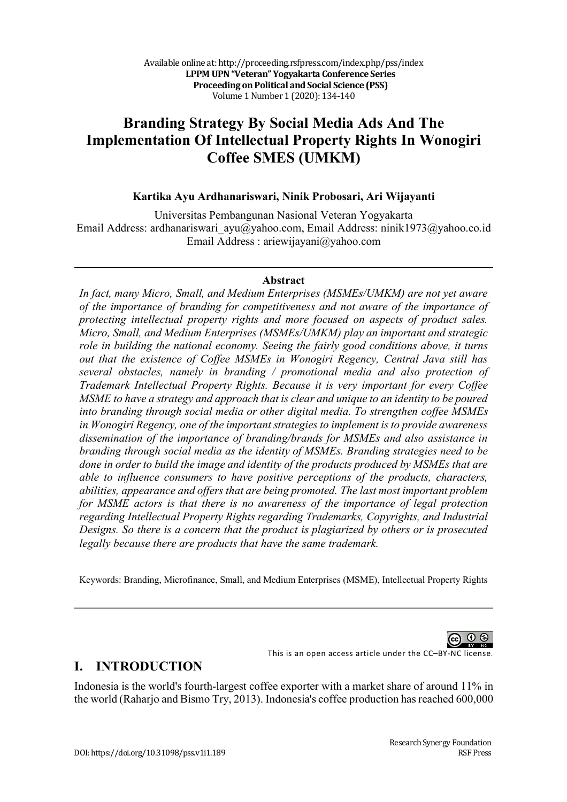# **Branding Strategy By Social Media Ads And The Implementation Of Intellectual Property Rights In Wonogiri Coffee SMES (UMKM)**

### **Kartika Ayu Ardhanariswari, Ninik Probosari, Ari Wijayanti**

Universitas Pembangunan Nasional Veteran Yogyakarta Email Address: ardhanariswari\_ayu@yahoo.com, Email Address: ninik1973@yahoo.co.id Email Address : ariewijayani@yahoo.com

### **Abstract**

*In fact, many Micro, Small, and Medium Enterprises (MSMEs/UMKM) are not yet aware of the importance of branding for competitiveness and not aware of the importance of protecting intellectual property rights and more focused on aspects of product sales. Micro, Small, and Medium Enterprises (MSMEs/UMKM) play an important and strategic role in building the national economy. Seeing the fairly good conditions above, it turns out that the existence of Coffee MSMEs in Wonogiri Regency, Central Java still has several obstacles, namely in branding / promotional media and also protection of Trademark Intellectual Property Rights. Because it is very important for every Coffee MSME to have a strategy and approach that is clear and unique to an identity to be poured into branding through social media or other digital media. To strengthen coffee MSMEs in Wonogiri Regency, one of the important strategies to implement is to provide awareness dissemination of the importance of branding/brands for MSMEs and also assistance in branding through social media as the identity of MSMEs. Branding strategies need to be done in order to build the image and identity of the products produced by MSMEs that are able to influence consumers to have positive perceptions of the products, characters, abilities, appearance and offers that are being promoted. The last most important problem for MSME actors is that there is no awareness of the importance of legal protection regarding Intellectual Property Rights regarding Trademarks, Copyrights, and Industrial Designs. So there is a concern that the product is plagiarized by others or is prosecuted legally because there are products that have the same trademark.*

Keywords: Branding, Microfinance, Small, and Medium Enterprises (MSME), Intellectual Property Rights



This is an open access article under the CC–BY-NC license.

## **I. INTRODUCTION**

Indonesia is the world's fourth-largest coffee exporter with a market share of around 11% in the world (Raharjo and Bismo Try, 2013). Indonesia's coffee production has reached 600,000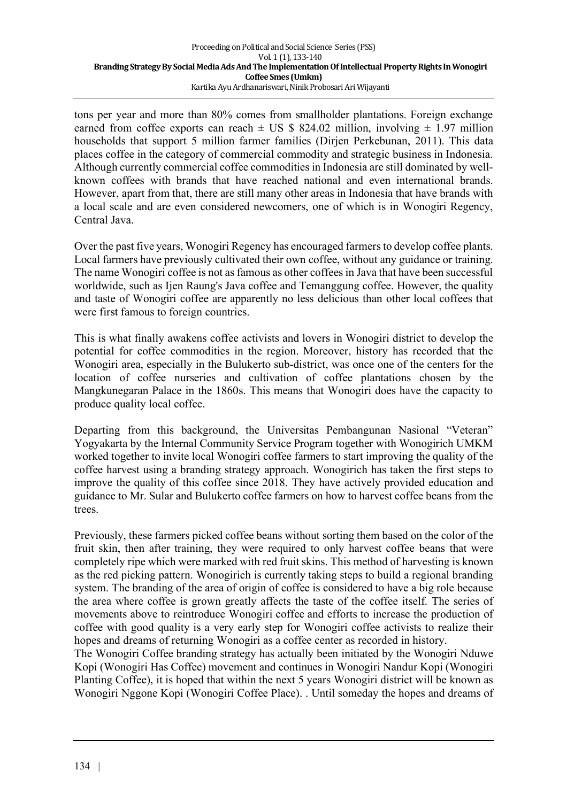tons per year and more than 80% comes from smallholder plantations. Foreign exchange earned from coffee exports can reach  $\pm$  US \$ 824.02 million, involving  $\pm$  1.97 million households that support 5 million farmer families (Dirjen Perkebunan, 2011). This data places coffee in the category of commercial commodity and strategic business in Indonesia. Although currently commercial coffee commodities in Indonesia are still dominated by wellknown coffees with brands that have reached national and even international brands. However, apart from that, there are still many other areas in Indonesia that have brands with a local scale and are even considered newcomers, one of which is in Wonogiri Regency, Central Java.

Over the past five years, Wonogiri Regency has encouraged farmers to develop coffee plants. Local farmers have previously cultivated their own coffee, without any guidance or training. The name Wonogiri coffee is not as famous as other coffees in Java that have been successful worldwide, such as Ijen Raung's Java coffee and Temanggung coffee. However, the quality and taste of Wonogiri coffee are apparently no less delicious than other local coffees that were first famous to foreign countries.

This is what finally awakens coffee activists and lovers in Wonogiri district to develop the potential for coffee commodities in the region. Moreover, history has recorded that the Wonogiri area, especially in the Bulukerto sub-district, was once one of the centers for the location of coffee nurseries and cultivation of coffee plantations chosen by the Mangkunegaran Palace in the 1860s. This means that Wonogiri does have the capacity to produce quality local coffee.

Departing from this background, the Universitas Pembangunan Nasional "Veteran" Yogyakarta by the Internal Community Service Program together with Wonogirich UMKM worked together to invite local Wonogiri coffee farmers to start improving the quality of the coffee harvest using a branding strategy approach. Wonogirich has taken the first steps to improve the quality of this coffee since 2018. They have actively provided education and guidance to Mr. Sular and Bulukerto coffee farmers on how to harvest coffee beans from the trees.

Previously, these farmers picked coffee beans without sorting them based on the color of the fruit skin, then after training, they were required to only harvest coffee beans that were completely ripe which were marked with red fruit skins. This method of harvesting is known as the red picking pattern. Wonogirich is currently taking steps to build a regional branding system. The branding of the area of origin of coffee is considered to have a big role because the area where coffee is grown greatly affects the taste of the coffee itself. The series of movements above to reintroduce Wonogiri coffee and efforts to increase the production of coffee with good quality is a very early step for Wonogiri coffee activists to realize their hopes and dreams of returning Wonogiri as a coffee center as recorded in history.

The Wonogiri Coffee branding strategy has actually been initiated by the Wonogiri Nduwe Kopi (Wonogiri Has Coffee) movement and continues in Wonogiri Nandur Kopi (Wonogiri Planting Coffee), it is hoped that within the next 5 years Wonogiri district will be known as Wonogiri Nggone Kopi (Wonogiri Coffee Place). . Until someday the hopes and dreams of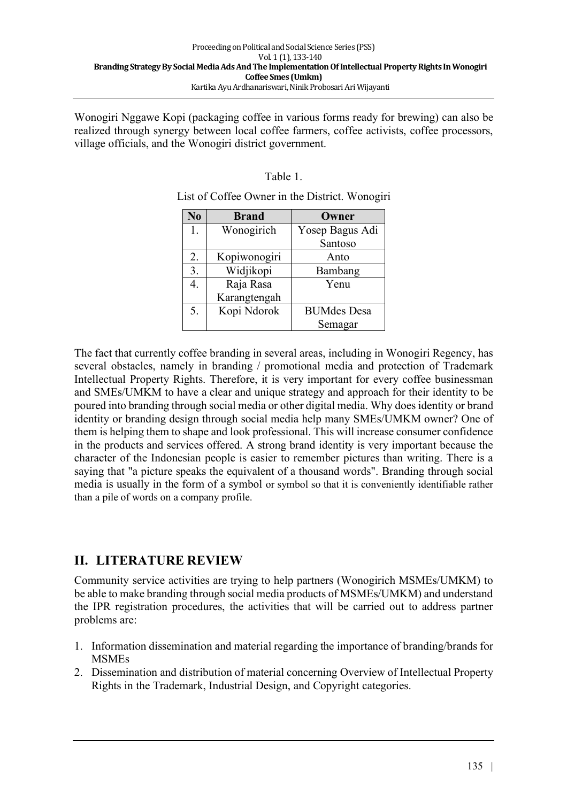Wonogiri Nggawe Kopi (packaging coffee in various forms ready for brewing) can also be realized through synergy between local coffee farmers, coffee activists, coffee processors, village officials, and the Wonogiri district government.

#### Table 1.

| N <sub>0</sub> | <b>Brand</b> | Owner              |
|----------------|--------------|--------------------|
| 1.             | Wonogirich   | Yosep Bagus Adi    |
|                |              | Santoso            |
| 2.             | Kopiwonogiri | Anto               |
| 3.             | Widjikopi    | Bambang            |
| 4              | Raja Rasa    | Yenu               |
|                | Karangtengah |                    |
| 5.             | Kopi Ndorok  | <b>BUMdes</b> Desa |
|                |              | Semagar            |

List of Coffee Owner in the District. Wonogiri

The fact that currently coffee branding in several areas, including in Wonogiri Regency, has several obstacles, namely in branding / promotional media and protection of Trademark Intellectual Property Rights. Therefore, it is very important for every coffee businessman and SMEs/UMKM to have a clear and unique strategy and approach for their identity to be poured into branding through social media or other digital media. Why does identity or brand identity or branding design through social media help many SMEs/UMKM owner? One of them is helping them to shape and look professional. This will increase consumer confidence in the products and services offered. A strong brand identity is very important because the character of the Indonesian people is easier to remember pictures than writing. There is a saying that "a picture speaks the equivalent of a thousand words". Branding through social media is usually in the form of a symbol or symbol so that it is conveniently identifiable rather than a pile of words on a company profile.

## **II. LITERATURE REVIEW**

Community service activities are trying to help partners (Wonogirich MSMEs/UMKM) to be able to make branding through social media products of MSMEs/UMKM) and understand the IPR registration procedures, the activities that will be carried out to address partner problems are:

- 1. Information dissemination and material regarding the importance of branding/brands for MSMEs
- 2. Dissemination and distribution of material concerning Overview of Intellectual Property Rights in the Trademark, Industrial Design, and Copyright categories.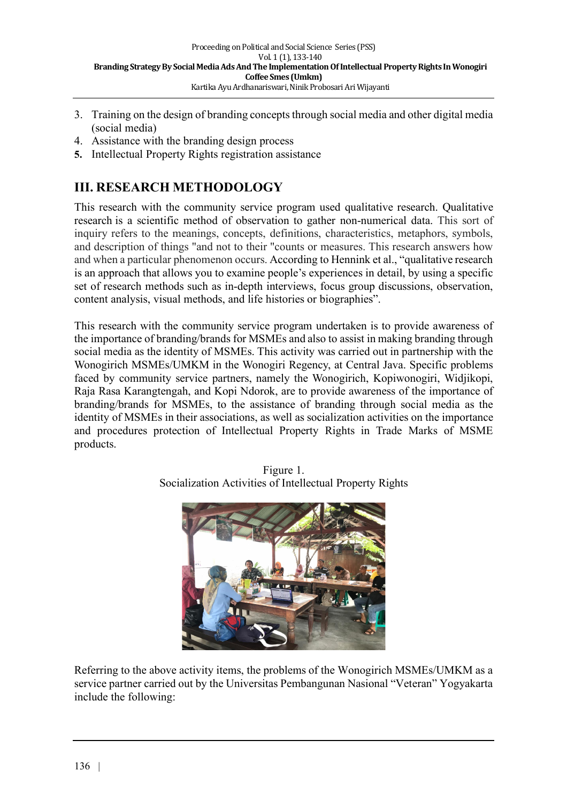- 3. Training on the design of branding concepts through social media and other digital media (social media)
- 4. Assistance with the branding design process
- **5.** Intellectual Property Rights registration assistance

# **III. RESEARCH METHODOLOGY**

This research with the community service program used qualitative research. Qualitative research is a scientific method of observation to gather non-numerical data. This sort of inquiry refers to the meanings, concepts, definitions, characteristics, metaphors, symbols, and description of things "and not to their "counts or measures. This research answers how and when a particular phenomenon occurs. According to Hennink et al., "qualitative research is an approach that allows you to examine people's experiences in detail, by using a specific set of research methods such as in-depth interviews, focus group discussions, observation, content analysis, visual methods, and life histories or biographies".

This research with the community service program undertaken is to provide awareness of the importance of branding/brands for MSMEs and also to assist in making branding through social media as the identity of MSMEs. This activity was carried out in partnership with the Wonogirich MSMEs/UMKM in the Wonogiri Regency, at Central Java. Specific problems faced by community service partners, namely the Wonogirich, Kopiwonogiri, Widjikopi, Raja Rasa Karangtengah, and Kopi Ndorok, are to provide awareness of the importance of branding/brands for MSMEs, to the assistance of branding through social media as the identity of MSMEs in their associations, as well as socialization activities on the importance and procedures protection of Intellectual Property Rights in Trade Marks of MSME products.



Figure 1. Socialization Activities of Intellectual Property Rights

Referring to the above activity items, the problems of the Wonogirich MSMEs/UMKM as a service partner carried out by the Universitas Pembangunan Nasional "Veteran" Yogyakarta include the following: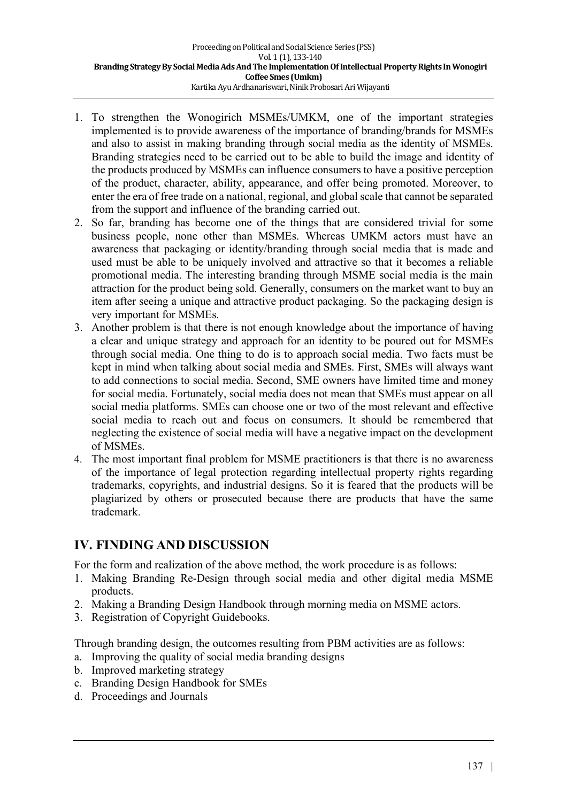- 1. To strengthen the Wonogirich MSMEs/UMKM, one of the important strategies implemented is to provide awareness of the importance of branding/brands for MSMEs and also to assist in making branding through social media as the identity of MSMEs. Branding strategies need to be carried out to be able to build the image and identity of the products produced by MSMEs can influence consumers to have a positive perception of the product, character, ability, appearance, and offer being promoted. Moreover, to enter the era of free trade on a national, regional, and global scale that cannot be separated from the support and influence of the branding carried out.
- 2. So far, branding has become one of the things that are considered trivial for some business people, none other than MSMEs. Whereas UMKM actors must have an awareness that packaging or identity/branding through social media that is made and used must be able to be uniquely involved and attractive so that it becomes a reliable promotional media. The interesting branding through MSME social media is the main attraction for the product being sold. Generally, consumers on the market want to buy an item after seeing a unique and attractive product packaging. So the packaging design is very important for MSMEs.
- 3. Another problem is that there is not enough knowledge about the importance of having a clear and unique strategy and approach for an identity to be poured out for MSMEs through social media. One thing to do is to approach social media. Two facts must be kept in mind when talking about social media and SMEs. First, SMEs will always want to add connections to social media. Second, SME owners have limited time and money for social media. Fortunately, social media does not mean that SMEs must appear on all social media platforms. SMEs can choose one or two of the most relevant and effective social media to reach out and focus on consumers. It should be remembered that neglecting the existence of social media will have a negative impact on the development of MSMEs.
- 4. The most important final problem for MSME practitioners is that there is no awareness of the importance of legal protection regarding intellectual property rights regarding trademarks, copyrights, and industrial designs. So it is feared that the products will be plagiarized by others or prosecuted because there are products that have the same trademark.

## **IV. FINDING AND DISCUSSION**

For the form and realization of the above method, the work procedure is as follows:

- 1. Making Branding Re-Design through social media and other digital media MSME products.
- 2. Making a Branding Design Handbook through morning media on MSME actors.
- 3. Registration of Copyright Guidebooks.

Through branding design, the outcomes resulting from PBM activities are as follows:

- a. Improving the quality of social media branding designs
- b. Improved marketing strategy
- c. Branding Design Handbook for SMEs
- d. Proceedings and Journals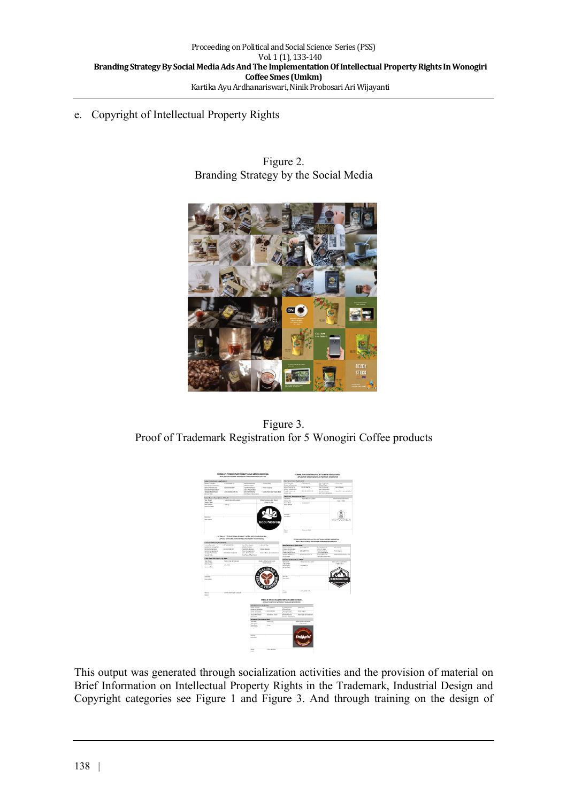Figure 2. Branding Strategy by the Social Media

### e. Copyright of Intellectual Property Rights

Figure 3. Proof of Trademark Registration for 5 Wonogiri Coffee products



This output was generated through socialization activities and the provision of material on Brief Information on Intellectual Property Rights in the Trademark, Industrial Design and Copyright categories see Figure 1 and Figure 3. And through training on the design of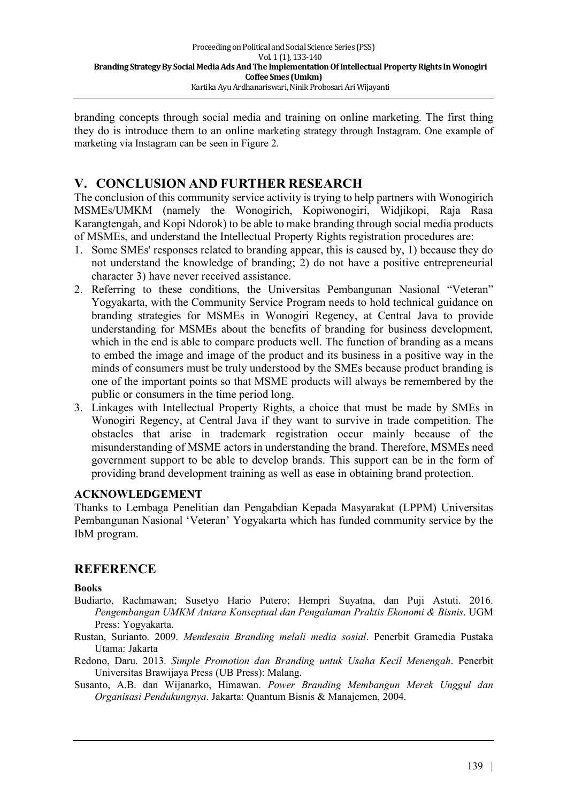branding concepts through social media and training on online marketing. The first thing they do is introduce them to an online marketing strategy through Instagram. One example of marketing via Instagram can be seen in Figure 2.

### **V. CONCLUSION AND FURTHER RESEARCH**

The conclusion of this community service activity is trying to help partners with Wonogirich MSMEs/UMKM (namely the Wonogirich, Kopiwonogiri, Widjikopi, Raja Rasa Karangtengah, and Kopi Ndorok) to be able to make branding through social media products of MSMEs, and understand the Intellectual Property Rights registration procedures are:

- 1. Some SMEs' responses related to branding appear, this is caused by, 1) because they do not understand the knowledge of branding; 2) do not have a positive entrepreneurial character 3) have never received assistance.
- 2. Referring to these conditions, the Universitas Pembangunan Nasional "Veteran" Yogyakarta, with the Community Service Program needs to hold technical guidance on branding strategies for MSMEs in Wonogiri Regency, at Central Java to provide understanding for MSMEs about the benefits of branding for business development, which in the end is able to compare products well. The function of branding as a means to embed the image and image of the product and its business in a positive way in the minds of consumers must be truly understood by the SMEs because product branding is one of the important points so that MSME products will always be remembered by the public or consumers in the time period long.
- 3. Linkages with Intellectual Property Rights, a choice that must be made by SMEs in Wonogiri Regency, at Central Java if they want to survive in trade competition. The obstacles that arise in trademark registration occur mainly because of the misunderstanding of MSME actors in understanding the brand. Therefore, MSMEs need government support to be able to develop brands. This support can be in the form of providing brand development training as well as ease in obtaining brand protection.

#### **ACKNOWLEDGEMENT**

Thanks to Lembaga Penelitian dan Pengabdian Kepada Masyarakat (LPPM) Universitas Pembangunan Nasional 'Veteran' Yogyakarta which has funded community service by the IbM program.

#### **REFERENCE**

#### **Books**

- Budiarto, Rachmawan; Susetyo Hario Putero; Hempri Suyatna, dan Puji Astuti. 2016. *Pengembangan UMKM Antara Konseptual dan Pengalaman Praktis Ekonomi & Bisnis*. UGM Press: Yogyakarta.
- Rustan, Surianto. 2009. *Mendesain Branding melali media sosial*. Penerbit Gramedia Pustaka Utama: Jakarta
- Redono, Daru. 2013. *Simple Promotion dan Branding untuk Usaha Kecil Menengah*. Penerbit Universitas Brawijaya Press (UB Press): Malang.
- Susanto, A.B. dan Wijanarko, Himawan. *Power Branding Membangun Merek Unggul dan Organisasi Pendukungnya*. Jakarta: Quantum Bisnis & Manajemen, 2004.